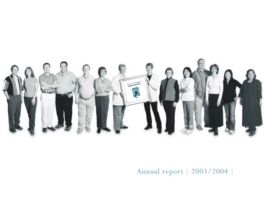

# Annual report [ 2003/2004 ]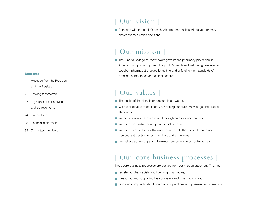#### **Contents**

- 1 Message from the President and the Registrar
- 2 Looking to tomorrow
- 17 Highlights of our activities and achievements
- 24 Our partners
- 28 Financial statements
- 33 Committee members

# Our vision ]

■ Entrusted with the public's health, Alberta pharmacists will be your primary choice for medication decisions.

# Our mission

■ The Alberta College of Pharmacists governs the pharmacy profession in Alberta to support and protect the public's health and well-being. We ensure excellent pharmacist practice by setting and enforcing high standards of practice, competence and ethical conduct.

# Our values ]

- The health of the client is paramount in all we do.
- We are dedicated to continually advancing our skills, knowledge and practice standards.
- We seek continuous improvement through creativity and innovation.
- We are accountable for our professional conduct.
- We are committed to healthy work environments that stimulate pride and personal satisfaction for our members and employees.
- We believe partnerships and teamwork are central to our achievements.

# Our core business processes ]

Three core business processes are derived from our mission statement. They are:

- registering pharmacists and licensing pharmacies;
- measuring and supporting the competence of pharmacists; and,
- resolving complaints about pharmacists' practices and pharmacies' operations.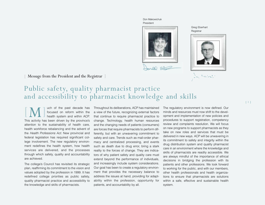Don Makowichuk President



Greg Eberhart **Registrar** 



San Fastander

# Message from the President and the Registrar

# Public safety, quality pharmacist practice and accessibility to pharmacist knowledge and skills

[M] uch of the past decade has focused on reform within the health system and within ACP. This activity has been driven by the province's attention to the sustainability of health care, health workforce rebalancing and the advent of the *Health Professions Act*. New provincial and federal legislation has required significant college involvement. The new regulatory environment redefines the health system, how health services are delivered, and the processes through which safety, quality and accountability are achieved.

The college's Council has revisited its strategic plan, reaffirming its commitment to the vision and values adopted by the profession in 1999. It has redefined college priorities as public safety, quality pharmacist practice and accessibility to the knowledge and skills of pharmacists.

Throughout its deliberations, ACP has maintained a view of the future, recognizing external factors that continue to require pharmacist practice to change. Technology, health human resources and the changing needs of patients (consumers) are forces that require pharmacists to perform differently, but with an unwavering commitment to safety and care. Trends such as mail-order pharmacy and centralized processing, and events such as death due to drug error, bring a stark reality to the forces of change. They are indicators of why patient safety and quality care must extend beyond the performance of individuals, and increasingly include system considerations. Our goal has been to create a regulatory environment that provides the necessary balance to address the issues at hand, providing for adaptability within the profession, opportunity for patients, and accountability by all.

The regulatory environment is now defined. Our minds and resources must now shift to the development and implementation of new policies and procedures to support registration, competency review and complaints resolution. We will focus on new programs to support pharmacists as they take on new roles and services that must be delivered in new ways. ACP will be unwavering in its commitment to safety and integrity within the drug distribution system and quality pharmacist care in an environment where the knowledge and skills of pharmacists are readily accessible. We are always mindful of the importance of ethical decisions in bridging the profession with its patients and other professions. We look forward to working for the public, and with our members, other health professionals and health organizations to ensure that pharmacists are solutions within a safe, effective and sustainable health system.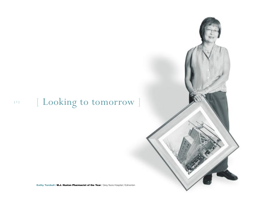# [ Looking to tomorrow ] [2]

**Kathy Turnbull** / **M.J. Huston Pharmacist of the Year** / Grey Nuns Hospital / Edmonton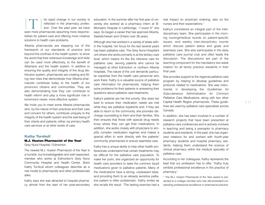$\sqrt{2}$ T he rapid change in our society is<br>reflected in the pharmacy profes-<br>sion. Over the past year, we have seen more pharmacists assuming more responsibilities for patient care and offering more creative solutions to health care problems.

Alberta pharmacists are stepping out of the framework of our standards of practice and beyond the confines of the health system, to show the world that their extensive knowledge and skills can be used more effectively, to the benefit of Albertans and the health system. In addition to ensuring the quality and integrity of the drug distribution system, pharmacists are creating and filling new roles that demonstrate how Alberta pharmacists contribute today to the health of our province's citizens and communities. They are also demonstrating how they can contribute to health reform and play a more significant role in tomorrow's newer, more effective system.

We invite you to meet some Alberta pharmacists who, by the nature of their practices and their care and concern for others, contribute uniquely to the integrity of the health system and the well-being of their clients and patients, either via primary health care services or at other levels of care.

#### **Kathy Turnbull**

### **M.J. Huston Pharmacist of the Year**\* Grey Nuns Hospital / Edmonton

The newest M.J. Huston Pharmacist of the Year is a humble, but knowledgeable and well respected, member who works at Edmonton's Grey Nuns Community Hospital and Health Centre. She's Kathy Turnbull whom colleagues describe as a role model to pharmacists and other professionals alike.

Kathy says she was attracted to hospital pharmacy almost from the start of her post-secondary education. In the summer after her first year of university she worked as a pharmacy intern at St. Michael's Hospital in Lethbridge. "I loved it!" she says. So began a career that has spanned Alberta, Saskatchewan and Ontario over 38 years.

Although she has worked in a variety of areas within the hospital, her focus for the last several years has been palliative care. The Grey Nuns Hospital's unit where she works primarily is at the tertiary care level, which means it's like the intensive care for palliative care, serving patients who cannot be managed at other Edmonton or northern Alberta hospitals. The nature of the unit demands particular expertise from the health care personnel who work there. Kathy is a valuable source of palliative care information for pharmacists, helping them solve problems for their patients or answering their questions about palliative care treatments.

Kathy's patients are her first priority. She does her best to ensure their medication needs are met while they are palliative inpatients and, if they are able to return to the community, she provides discharge counselling to them and their families. She then ensures that those with special drug needs know where they can get their medications. In addition, she works closely with physicians to simplify complex medication regimes and makes a special effort to work directly with the patients' community pharmacists to ensure seamless care.

Kathy has a unique ability to help other health professionals understand that certain treatments may be difficult for the palliative care population. To make her point, she organized an opportunity for health care providers to taste the common liquid medications given to palliative patients. Many of the medications have a strong, unpleasant taste, and providing them to an already sensitive palliative patient is often problematic. Kathy smiles as she recalls the result. "The tasting exercise had a real impact on physician ordering, also on the nurses and their expectations."

Kathy's considered an integral part of the interdisciplinary team. She participates in the morning nursing/medical rounds on patient-specific issues, and weekly inter-disciplinary rounds which discuss patient status and goals and seamless care. She also participates in the daily palliative care journal club and often leads the discussion. The discussions are part of the teaching component for the mandatory two-week rotation for all family practice residents in their final year.

She provides support to the regional palliative care program by helping to develop guidelines and protocols related to medications. She was instrumental in developing the *Guidelines for Subcutaneous Administration for Common Palliative Care Medications*, along with two other Capital Health Region pharmacists. These guidelines are used by palliative care specialists across Canada.

In addition, she has been involved in a number of research projects that have been presented at palliative care conferences and is actively involved in teaching and being a preceptor to pharmacy students and residents. In the past, she has organized rotations for and worked with fourth-year pharmacy students and hospital pharmacy residents, helping them understand the science of clinical pharmacy within the medical specialty of palliative care.

According to her colleagues, Kathy represents the best that our profession has to offer. "Kathy truly exhibits professional excellence in the practice of pharmacy."

\* *The M.J. Huston Pharmacist of the Year award is presented to a college member who has demonstrated outstanding professional excellence in pharmacist practice.*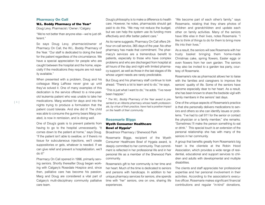#### **Pharmacy On Call**

#### **W.L. Boddy Pharmacy of the Year\***

Doug Levy, Pharmacist / Owner / Calgary

"We're not better than anyone else—we're just different."

So says Doug Levy, pharmacist/owner of Pharmacy On Call, the W.L. Boddy Pharmacy of the Year. "Our staff is dedicated to doing the best for the patient regardless of the circumstance. We have a special appreciation for people who are caught between the hospital and the home, especially if the medications they require are not readily available."

When presented with a problem, Doug and his colleague Marg LaRose never give up until they've solved it. One of many examples of this dedication is the service offered to a nine-yearold leukemia patient who was unable to take her medications. Marg worked for days and into the nights trying to produce a formulation that the patient could tolerate. And she did it! The child was able to consume the gummy bears Marg created, is now in remission, and is doing well.

One of Doug's goals is to prevent patients from having to go to the hospital unnecessarily. "It comes down to the patient at home," says Doug. "If the patient isn't able to swallow, or if there's no tissue for subcutaneous injections, we'll create suppositories or gels, whatever is needed. If we can give relief and prevent a hospitalization, we'll do it!"

Pharmacy On Call opened in 1996, primarily serving seniors. Shortly thereafter Doug began working with Calgary's Rosedale Hospice and, since then, palliative care has become his passion. Marg and Doug are considered a vital part of Calgary's multi-disciplinary community palliative care team.

Doug's philosophy is to make a difference to health care. However, he notes, pharmacists should get paid to do this. "We may not reduce the budget, but we can help the system use its funding more effectively and offer better patient care."

As its name suggests, Pharmacy On Call offers 24 hour on-call service, 365 days of the year. No other pharmacy has made that commitment. The pharmacy's services are a tremendous benefit to patients, especially to those who have complex problems and who are discharged from hospital at all hours of the day and night with limited pharmacy support, as well as those in the last stages of life whose urgent needs are rarely predictable.

But Doug and his pharmacy staff continue to look ahead. "There's a lot to learn and to do," he says.

"This is just what I want to do," he adds. "I've never been happier."

\* *The W.L. Boddy Pharmacy of the Year award is presented to an Alberta pharmacy whose health professionals, by virtue of their practice, have had a positive impact on the health of their community.*

#### **Rosemarie Biggs**

### **Wyeth Consumer Healthcare Bowl of Hygeia\***

Broadmoor Pharmacy / Sherwood Park

Rosemarie Biggs, recipient of the Wyeth Consumer Healthcare Bowl of Hygeia award, is deeply committed to her community. That commitment is reflected in her professional life and in her personal life as a member of the Sherwood Park community.

Rosemarie's gift to her community is her time and her heart. Much of the time is dedicated to seniors and persons with handicaps. In addition to her unique pharmacy services for seniors, she spends time with "her" seniors, one on one, sharing life experiences.

"We become part of each other's family," says Rosemarie, relating that they share photos of children and grandchildren and update each other on family activities. Many of the seniors have little else in their lives, notes Rosemarie. "I like to think of things to do for them to bring more life into their lives."

As a result, the seniors will see Rosemarie with her trusty basket bringing them home-made Christmas cake, spring flowers, Easter eggs or even flowers from her own garden. The seniors may also be invited to a garden tea party, courtesy of Rosemarie.

Rosemarie's role as pharmacist allows her to liaise with the families and caregivers to improve the seniors' quality of life. Some of the seniors have become especially dear to her heart. As a result, she has been known to share the bedside vigil with family members in the seniors' last days.

One of the unique aspects of Rosemarie's practice is that she personally delivers medications to seniors and others so she can identify issues or problems. "I've had to call 911 for the senior or contact the physician or a family member," she remarks. "Sometimes I'll make the person something to eat or drink." This special touch is an extension of the personal relationship she has with many of the seniors in her community.

A group that benefits greatly from Rosemarie's big heart is the clientele at the Robin Hood Association, which provides a wide range of residential, educational and support services to children and adults with developmental and multiple disabilities.

The clients and staff appreciate her professional expertise and her personal involvement in their activities. According to the association's executive officer, Rosemarie makes significant financial contributions and regular "in-kind" donations,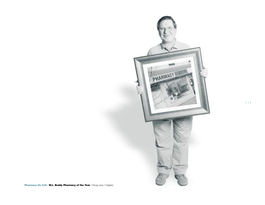

**Pharmacy On Call / W.L. Boddy Pharmacy of the Year / Doug Levy / Calgary**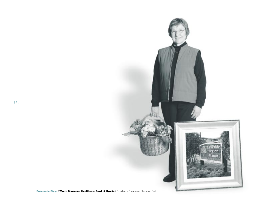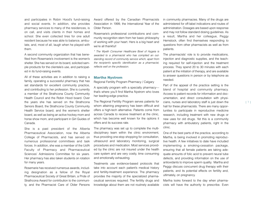and participates in Robin Hood's fund-raising and social events. In addition, she provides pharmacy services to many of the residences, is on call, and visits clients in their homes and school. She even collected tires for one adult resident because he was able to balance, ambulate, and, most of all, laugh when he played with them.

A second community organization that has benefited from Rosemarie's involvement is the women's shelter. She has served on its board, solicited sample products for the clientele's use, and participated in its fund-raising events.

All of these activities are in addition to raising a family, operating a successful pharmacy that has set standards for excellent community practice, and contributing to her profession. She is currently a member of the Strathcona County Community Health Council and the Robin Hood board. Over the years she has served on the Strathcona Seniors Board, the Strathcona County Community Health Service board, and the women's shelter board, as well as being an active hockey mom and horse show mom, and participant in Girl Guides of Canada.

She is a past president of the Alberta Pharmaceutical Association, now the Alberta College of Pharmacists, and has served on numerous professional committees and task forces. In addition, she was a member of the UofA Faculty of Pharmacy and Pharmaceutical Sciences' Admissions Committee for six years. Her pharmacy has also taken students on rotation for many years.

Rosemarie has received numerous awards, including designation as a fellow of the Royal Pharmaceutical Society of Great Britain, a Pride of Strathcona Award for contribution to the community, and the Pharmacist Care of Older Persons

Award offered by the Canadian Pharmacists Association in 1999, the International Year of the Older Person.

Rosemarie's professional contributions and community recognition stem from her basic philosophy of working with your heart. Hers is a big heart and we're all thankful!

*\* The Wyeth Consumer Healthcare Bowl of Hygeia is awarded to a pharmacist who has compiled an outstanding record of community service which, apart from the recipient's specific identification as a pharmacist, reflects well on the profession.*

#### **Martha Nystrom**

Regional Fertility Program Pharmacy / Calgary

A specialty program with a specialty pharmacy that's where you'll find Martha Nystrom who loves her leading-edge practice.

The Regional Fertility Program serves patients for whom attaining pregnancy has been difficult and offers a high-tech alternative. Patients come from across Canada to receive treatment at the clinic, which has become well known for the options it offers and its success rate.

The pharmacy was set up to complete the multidisciplinary team within the clinic environment, thus providing one-stop shopping for consultation, ultrasound and laboratory monitoring, surgical procedures and medication. Most services provided by the clinic are not insured under the health care system and are very costly, time consuming and emotionally exhausting.

Treatments use evidence-based protocols that take into account each patient's medical history and fertility-treatment experience. The pharmacy provides the majority of the specialized pharmaceutical services required. The fertility drugs and knowledge about them are not routinely available in community pharmacies. Many of the drugs are administered for off-label indications and routes of administration. Dosages are based upon response and may not follow standard dosing guidelines. As a result, Martha and her colleague, Peggy Hemstock, often find themselves responding to questions from other pharmacists as well as from patients.

The pharmacists' role is to provide medications, injection and diagnostic supplies, and the teaching required for self-injection and the treatment process. They spend 20 to 30 minutes with each patient at the initiation of therapy, and are available to answer questions in person or by telephone as needed.

Part of the appeal of the practice setting is the blend of hospital and community pharmacy. Access to patient records for information and documentation, and direct consultation with physicians, nurses and laboratory staff is just down the hall for these pharmacists. There are many opportunities to participate in reproductive medicine research, including treatment with new drugs or new uses for old drugs. Yet this is a community pharmacy with ambulatory patients, right in the clinic.

One of the best parts of the practice, according to Martha, is being involved in promoting reproductive health. A few initiatives to date have included implementing a smoking-cessation package, ensuring that all female patients are taking adequate amounts of folic acid to prevent neural tube defects, and providing information on the use of antioxidants to improve sperm quality. Martha and Peggy discuss concurrent drug therapy with their patients, and its potential effects on fertility and, ultimately, on pregnancy.

Martha looks forward to the day when pharmacists will have the authority to prescribe. Even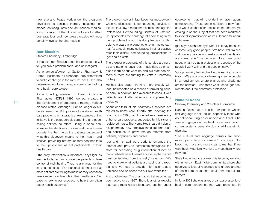now, she and Peggy work under the program's physicians to continue therapy, including hormones, anticoagulants and anti-nausea medications. Evolution of the clinical protocols to reflect best practices and new drug therapies will most certainly involve the pharmacists.

#### **Igor Shaskin**

#### Stafford Pharmacy / Lethbridge

If you ask Igor Shaskin about his practice, he will tell you he's a problem solver and an instigator.

As pharmacist/owner of Stafford Pharmacy & Home Healthcare in Lethbridge, he's determined to find a challenge in the work he does. He's also determined not to turn away anyone who's looking for a health care solution.

As a founding member of Health Outcome Pharmacies (HOP) in 1995, Igor participated in the development of protocols to manage various disease states. Although HOP no longer exists, he still uses the HOP process to address health care problems in his practice. An example of this initiative is the osteoporosis screening and counselling service he offers. Using a bone densiometer, he identifies individuals at risk of osteoporosis. He then helps the patients understand what this discovery means to their health and lifestyle, providing information they can then take to their physicians as full participants in their health care.

"The early intervention is important," says Igor, as are the tools he can provide the patients to take control of their health. There is a charge for this service, he notes. "It's a personal expenditure that more patients are willing to make as they choose to take a more proactive role in their health care. Our patients look to our expertise to help them attain better health outcomes."

The problem solver in laor becomes most evident when he discusses his compounding service, an interest that saw him become certified through the Professional Compounding Centers of America. He appreciates the challenge of addressing treatment problems through this discipline, and is often able to prepare a product other pharmacies cannot. As a result, many colleagues in other settings refer their difficult compounding prescriptions to Igor and his staff.

The biggest proponents of this service are nurses and patients, says Igor. In addition, as physicians learn about what he and his staff can do, more of them are turning to Stafford Pharmacy for help.

He has also begun working more closely with local naturopaths as a means of providing holistic care. In addition, he's available to consult with patients about alternative and complementary therapies.

About one-third of his pharmacy's services are related to home care. Shortly after opening the pharmacy in 1985, he introduced an extensive line of home care products, supported by his sister, a registered nurse. The Home Healthcare division of his pharmacy now employs three full-time staff, and continues to grow through referrals from patients, physicians and nurses.

Igor and his staff were early to embrace the Internet and provide computers throughout the store for accessing drug information. "Since so many patients have Internet access, a pharmacist can't be isolated from the web," says Igor. "We need to know what patients are seeing and reading, and we need to provide information that is unbiased and balanced via our own websites."

And that he does. The pharmacy's first website has been active since 1997. There is another website that has a more holistic focus and another under development that will provide information about compounding. These are in addition to new footcare websites that offer access to the pharmacy's catalogue on the subject that has been marketed to specialist practitioners across Canada for about eight years.

Igor says his pharmacy is what it is today because of some very good people. "We have well trained staff, caring people who make sure all the details are looked after," he declares. "I can feel good about what I do as a professional because of the people I work with and the people I serve."

"Our pharmacy has evolved into a learning organization. We are continually learning to serve people in an environment where change and challenge are the constant." And that's what keeps Igor passionate about the pharmacy profession.

#### **Nandini Desai**

Safeway Pharmacy and Volunteer / Edmonton

Nandini Desai has a passion for people whose first language is not English, especially those who do not speak English or understand it well. She sees a huge gap in their health care because our current systems generally do not address ethnic diversity.

"The cultural and language barriers are enormous, particularly for seniors," she says. "It's becoming more and more clear to me that, if we want healthy seniors, we have to meet them where they are."

She's beginning to address this issue by working within her own East Indian community, where she observes a lack of resources and understanding of health care issues that result from the cultural barriers.

In June 2003 she was a key organizer of a seniors' health care conference that was presented in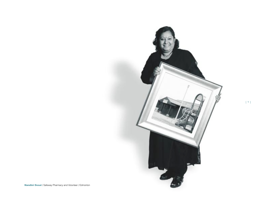

[9]

**Nandini Desai** / Safeway Pharmacy and Volunteer / Edmonton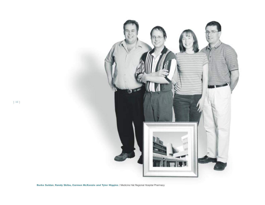

**Burke Suidan**, **Randy Skiba, Carmen McKenzie and Tyler Higgins** / Medicine Hat Regional Hospital Pharmacy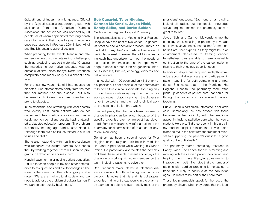Gujarati, one of India's many languages. Offered by the Gujarati association's seniors group, with assistance from the Canadian Diabetes Association, the conference was attended by 60 people, all of whom appreciated receiving health care information in their native tongue. The conference was repeated in February 2004 in both Hindi and English, again to general acclaim.

When preparing for the events, Nandini and others encountered some interesting challenges, such as producing support materials. "Creating the materials in our native language was an obstacle at first, since today's North American computers don't readily carry our alphabet," she says.

For the last few years, Nandini has focused on diabetes. Her interest stems partly from the fact that her mother had the disease, but also because South Asians have been identified as prone to diabetes.

In the meantime, she is working with local doctors who identify East Indian patients who do not understand their medical condition and, as a result, are non-compliant, despite having attended a diabetes education program. "The problem is primarily the language barrier," says Nandini, "although there are also issues related to cultural values and diet."

She is also networking with health professionals who recognize the cultural barriers. She hopes that, by working together, there will soon be programs in Edmonton to address them.

Nandini says her major goal is patient education. "I'd like to teach people in my and other communities to ask questions and ask for changes." The issue is the same for other ethnic groups, she notes. "We are a multi-cultural society and we need to address the problem of cultural barriers if we want to offer quality health care."

# **Rob Caparini, Tyler Higgins, Carmen McKenzie, Joyce Nishi, Randy Skiba, and Burke Suidan**

Medicine Hat Regional Hospital Pharmacy

The pharmacists at the Medicine Hat Regional Hospital have the best of two worlds—a generalist practice and a specialist practice. They'd be the first to deny they're experts in their areas of particular interest. However, the additional learning each has undertaken to meet the needs of their patients has translated into in-depth knowledge in specific areas such as geriatrics, infectious diseases, kinetics, oncology, diabetes and palliative care.

In a hospital with 190 beds and only 6.8 pharmacist positions, it's not possible for the pharmacists to become true clinical specialists, focusing only on one disease state every day. The pharmacists work a six-week rotation, serving in the dispensary for three weeks, and then doing clinical work on the nursing units for three weeks.

In recent years, the pharmacy team has seen a change in physician behaviour because of the specific expertise each pharmacist has developed. Some physicians now refer a patient to the pharmacy for determination of treatment or dayto-day monitoring.

Geriatrics has been a special focus for Tyler Higgins for the 10 years he's been in Medicine Hat, and in prior years while working in Grande Prairie. He particularly appreciates the complex problems these patients present and enjoys the challenge of working with other members on the team, including patients, to solve them.

Rob Caparini's major interest is infectious diseases, a natural fit with his background in microbiology. He notes that his and his colleagues' expertise in different areas results in the pharmacy team being able to answer readily most of the

physicians' questions. "Each one of us is still a jack of all trades, but the special knowledge we've acquired makes the pharmacy team a great resource."

Joyce Nishi and Carmen McKenzie share the oncology work, resulting in pharmacy coverage at all times. Joyce notes that neither Carmen nor herself are "the" experts, as they might be in an environment dedicated to treating cancer. Nonetheless, they are able to make a valuable contribution to the care of the cancer patients, thanks to their oncology-specific focus.

In addition, Joyce has acquired in-depth knowledge about diabetes care and participates in patient teaching for both outpatients and inpatients. She notes that in the Medicine Hat Regional Hospital the pharmacy team often picks up aspects of patient care that could fall through the cracks, such as inpatient diabetic teaching.

Burke Suidan is particularly interested in palliative care. Remarkably, he has chosen this focus because he had difficulty with the emotional aspect intrinsic to palliative care when he was a student. He says, "I did so poorly in this area in my student hospital rotation that I was determined to make the shift from the treatment mindset to supporting the patient's quest for a good quality of life until death."

The pharmacy team's cardiology resource is Randy Skiba. The appeal for him is meeting and working with the cardiac patient population, and helping them make lifestyle adjustments to improve their health. He notes that the number of patients with cardiac problems is increasing, a trend that's likely to continue as the population ages. He wants to be part of their care team.

These five pharmacists speak for the rest of the pharmacy players when they agree that the ideal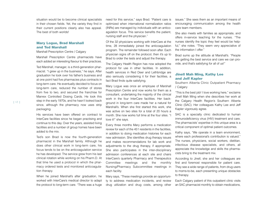situation would be to become clinical specialists in their chosen fields. Yet, the variety they find in their current positions clearly also has appeal. The best of both worlds!

## **Mary Logue, Brad Marshall and Ted Marshall**

Marshall Prescription Centre / Calgary

Marshall Prescription Centre pharmacists have each added an interesting flavour to their practices.

Ted Marshall, manager, is a third-generation pharmacist. "I grew up in the business," he says. After graduation he took over his father's business and at one point had five pharmacies plus contracts in long-term care. He eventually decided to focus on long-term care, reduced the number of stores from five to two, and secured the franchise for Manrex Controlled Dosing Cards. He took this step in the early 1970s, and he hasn't looked back since, although the pharmacy now uses strip packaging.

His services have been offered on contract to InterCare facilities since he began practising and continue to this day. Over the years, assisted living facilities and a number of group homes have been added to the mix.

Ted's son Brad is now the fourth-generation pharmacist in the Marshall family. Although he does other clinical work in long-term care, his focus tends to be on the anticoagulation service he has developed. The service grew from his last clinical rotation while working on his Pharm.D. At that time he used a protocol in which the pharmacy ordered tests and monitored anticoagulation therapy.

When he joined Marshall's after graduation, he worked with InterCare's medical director to adapt the protocol to long-term care. "There was a huge need for this service," says Brad. "Patient care is optimized when international normalization ratios (INRs) are managed by individuals with an anticoagulation focus. This service benefits the patient, nursing staff and the physician."

Of the 32 physicians working with InterCare at the time, 28 immediately joined the anticoagulation program. The remainder followed soon after. Each physician signs off on the protocol, then it's up to Brad to order the tests and adjust the therapy.

The Calgary Health Region has now adopted the protocol for use in other facilities. In addition, health services in Red Deer and Lethbridge are also seriously considering it for their facilities, a fact Brad finds quite satisfying.

Mary Logue was once an employee of Marshall Prescription Centre and now works for them as a consultant, undertaking the majority of the clinical work in the four InterCare facilities. Her background in long-term care made her a natural for Marshall's. When she first started this work, she was active on two sites for a total of 20 hours a month. She now works full time at the four sites. "I love it!" she says.

Every three months Mary performs a medication review for each of the 451 residents in the facilities, in addition to doing medication histories for each new admission. She identifies drug therapy issues and makes recommendations for lab work and adjustments to the drug therapy, if appropriate. She also participates in the inter-disciplinary admission conferences at each site and chairs InterCare's quarterly Pharmacy and Therapeutics Committee meetings and the monthly Nursing/Pharmacy Subcommittee meetings in each facility.

Mary says, "These meetings provide an opportunity to address medication incidents, and review drug utilization and drug costs, among other issues." She sees them as an important means of encouraging communication among the health care team members.

She also meets with families as appropriate, and offers in-service teaching for the nurses. "The nurses identify the topic they feel would be helpful," she notes. "They seem very appreciative of the information I offer."

Brad sums up the attitude at Marshall's. "People are getting the best service and care we can provide, and that's satisfying for all of us!"

## **Jinell Mah Ming, Kathy Lee and Jeff Kapler**

Southern Alberta Clinic Outpatient Pharmacy / Calgary

"This is the best job! I love working here," exclaims Jinell Mah Ming when she describes her work at the Calgary Health Region's Southern Alberta Clinic (SAC). Her colleagues Kathy Lee and Jeff Kapler vigorously agree.

SAC is a specialty clinic dedicated to human immunodeficiency virus (HIV) treatment and care. The pharmacists' expertise in this unique area is a critical component of optimal patient outcomes.

Kathy says, "We operate in a team environment, where each professional's contribution is valued." The nurses, physicians, social workers, dietitian, infectious disease specialists, and others, all appreciate the knowledge and skills the pharmacists bring to the treatment mix.

According to Jinell, she and her colleagues are first and foremost responsible for patient care. They see a wide range of patients, from drug users to moms-to-be, each presenting unique obstacles to therapy.

Each Calgary patient of this outpatient clinic visits an SAC pharmacist monthly to obtain medications,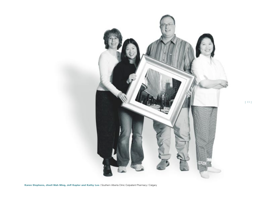

**Karen Stephens, Jinell Mah Ming, Jeff Kapler and Kathy Lee** / Southern Alberta Clinic Outpatient Pharmacy / Calgary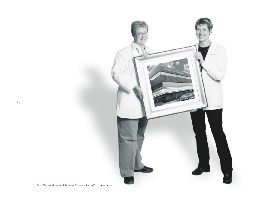

**Fern McNaughton and Tamara Bresee / Kenron Pharmacy / Calgary**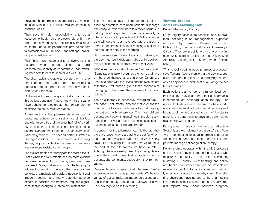providing the pharmacist an opportunity to monitor the effectiveness of the antiretroviral treatment on a continual basis.

Their second major responsibility is to be a resource to health care professionals within the clinic and beyond. Since the clinic serves all of southern Alberta, the pharmacists provide support to professionals in rural and urban settings, including penal institutions.

Their third major responsibility is involvement in research, which includes clinical trials and research they identify as important to understanding how best to care for individuals with HIV.

The pharmacists are able to devote their time to direct patient care and other responsibilities because of the support of their pharmacy technician Karen Stephens.

"Adherence to drug therapy is vitally important to this patient population," says Kathy. "It's critical to have adherence rates greater than 95 per cent to minimize the risk of viral resistance."

A teaching tool the pharmacists often use to encourage adherence is a set of two pill bottles, one with three pills and the other half full of a variety of antiretroviral medications. The first bottle illustrates an adherent regimen, i.e., an example of initial drug therapy. The second bottle illustrates a "salvage" cocktail, i.e., an example of the drug therapy required to tackle the virus as it mutates and develops resistance to therapy.

The first six months of therapy are the most difficult. That's when the side effects can be most evident because the patient's immune system is so compromised. Many patients find it's challenging to adhere to their drug therapy. The therapy often consists of a multiple-pill burden, inconvenient and frequent dosing, and many potential adverse effects. In addition, the treatment requires significant lifestyle changes, such as diet restrictions.

The pharmacists have an important role to play in assuring seamless care upon patients' discharge from hospital. "We work hard to remove barriers to getting care," says Jeff. Since confidentiality is often a big issue for patients with HIV, the pharmacists will do their best to encourage a patient to come for treatment, including meeting a patient at the back door early in the morning.

HIV presents itself differently among patients, so therapy must be individually tailored. In addition, every patient has a different level of motivation.

"We've learned a lot about people," remarks Jinell. "Some patients take the bull by the horns and take on the drug therapy as a challenge. Others are unable to cope with the illness and the side effects of therapy. And there's a group that's incapable of managing on their own. They require a lot of hand holding."

The drug therapy is expensive, averaging \$1500 per patient per month, another motivator for the pharmacists to work particularly hard at helping the patients with adherence. The most difficult patients are those with mental health problems and addictions, as well as those presenting such sociocultural hurdles as a language barrier.

A concern for the pharmacy team is the fact that there are patients who are adherent but for whom the drug therapy fails to suppress the virus. Kathy says, "It's frustrating for us when we've reached the end of the alternatives we have to offer." Although there are many new drugs being developed, they can't come fast enough for some patients, she comments, especially if they're motivated.

Despite those concerns, Jinell declares, "We're where we want to be as professionals. We have a variety of duties, make an impact on patient care, and can undertake projects at our own initiative. It's a privilege to be in this setting."

# **Tamara Bresee and Fern McNaughton**

Kenron Pharmacy / Calgary

Forty Calgary patients are beneficiaries of specialized anticoagulation management expertise acquired by Tamara Bresee and Fern McNaughton, pharmacists at Kenron Pharmacy in Calgary. They are practitioners in one of the first community satellite clinics for the University of Alberta's Anticoagulation Management Service (AMS).

"This is really cutting edge pharmacist practice," says Tamara. "We're monitoring therapy in a specialty area, ordering tests, and modifying the therapy as appropriate, and, best of all, we get to see the outcomes."

Each patient is a member of a randomized, controlled study to evaluate the effect of pharmacist intervention on anticoagulation therapy. The appeal for both Fern and Tamara was the opportunity to learn more about this specialized area and, because of the time allotted to each of the study's patients, the opportunity to develop a solid helping relationship with each one.

Participating in research was also an attraction. "Not only are we helping the patients," says Fern, "we're contributing to good pharmacist practice, which will in turn help other pharmacists and patients manage anticoagulation therapy."

Kenron's clinic operates within the AMS protocols and is assessed by an independent evaluator who measures the quality of the clinic's service by reviewing INR control, event tracking, and patient and health care provider satisfaction. Patients are referred to the clinic by family physicians, primarily ones who practise in a nearby clinic. The referring physicians have agreed to the pharmacists' involvement in their patients' care and receive regular reports about each patient's progress.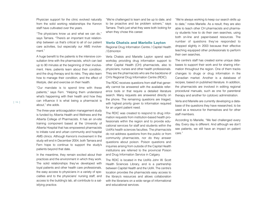Physician support for the clinic evolved naturally from the solid working relationships the Kenron staff have cultivated over the years.

"The physicians know us and what we can do," says Tamara. "There's an important trust relationship between us that's critical to all of our patient care activities, but especially our AMS involvement."

A huge benefit to the patients is the intensive consultation time with the pharmacists, which can last up to 90 minutes at the beginning of their involvement. Here, patients learn about their condition, and the drug therapy and its risks. They also learn how to manage their condition, and the effect of lifestyle, diet and exercise on their health.

"Our mandate is to spend time with these patients," says Fern. "Helping them understand what's happening with their health and how they can influence it is what being a pharmacist is about," she adds.

The three-year anticoagulation management study is funded by Alberta Health and Wellness and the Alberta College of Pharmacists. It has an on-site training component based at the University of Alberta Hospital that has empowered pharmacists to initiate rural and urban community and hospital AMS clinics. Although Kenron's involvement in the study will end in December 2004, both Tamara and Fern hope to continue to support the study's patients beyond that date.

In the meantime, they remain excited about their practices and the environment in which they work. The solid relationships they've developed with loyal patients and other health care professionals, the easy access to physicians in a variety of specialties and to the physicians' nursing staff, and access to the building's lab, all contribute to a satisfying practice.

"We're challenged to learn and be up to date, and to be proactive and be problem solvers," says Tamara. That's just what they were both looking for when they chose this career.

#### **Verla Chatsis and Marielle Layton**

Regional Drug Information Centre / Capital Health / Edmonton

Verla Chatsis and Marielle Layton spend each workday providing drug information support to other Capital Health (CH) pharmacists, also to physicians, nurses and other health professionals. They are the pharmacists who are the backbone of CH's Regional Drug Information Centre (RDIC).

The RDIC receives questions from staff that generally cannot be answered with the available reference tools or that require a detailed literature search. Many requests are answered directly on the phone. The remaining questions are triaged, with highest priority given to information required for an urgent patient need.

The RDIC was created to respond to drug information requests from institution-based health professionals within the region and to provide educational services for staff and students within the UofA's health sciences faculties. The pharmacists do not address questions from the public or from community pharmacists, nor do they answer questions about poison. Poison questions and inquiries arising from outside of the Capital Health institutions are referred to the provincial Poison and Drug Information Service in Calgary.

The RDIC is located in the UofA's John W. Scott Health Sciences Library, and is a partnership between Capital Health and the UofA. The centre's location provides the pharmacists easy access to the library's resources and allows collaboration with the librarians on a wide range of informational and educational services.

"We're always working to keep our search skills up to date," notes Marielle. As a result, they are also able to teach other CH pharmacists and pharmacy students how to do their own searches, using both on-line and paper-based resources. The number of questions they've responded to dropped slightly in 2003 because their effective teaching equipped other professionals to perform their own searches.

The centre's staff has created some unique databases to support their work and for sharing information throughout the region. One of them tracks changes to drugs or drug information in the Canadian market. Another is a database of recipes, based on published literature. In addition, the pharmacists are involved in editing regional procedural manuals, such as one for parenteral therapy and another for cytotoxic administration.

Verla and Marielle are currently developing a database of the questions they have researched, to be used as a resource for themselves and for other staff members.

According to Marielle, "We feel challenged every day. Every day is different. And although we don't see patients, we still have an impact on patient care."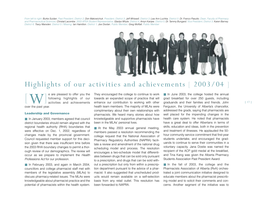*From left to right: Burke Suidan, Past President, District 2; Don Makowichuk, President, District 3; Jeff Whissell, District 3; Lea Ann Luchka, District 5; Dr. Franco Pasutto, Dean, Faculty of Pharmacy and Pharmaceutical Sciences; Christal Lacombe, 2003 APSA Student Representative; Gladys Whyte, District 4; Amyn Kanjee, District 5; Dr. Tammy Bungard, Vice President, District 3; Karen Barney, District 6; Tracy Marsden, District 5 / Missing: Ian Hamilton, District 1; Joe Doolan, Public Member; Greg Moffatt, Public Member*



# Highlights of our activities and achievements [ 2003/04 ]

[W] e are pleased to offer you the following highlights of our activities and achievements over the past year.

#### **Leadership and Governance**

■ In January 2003, members agreed that council district boundaries should remain aligned with the regional health authority (RHA) boundaries that were effective on Dec. 1, 2002, regardless of changes made by the provincial government. Council requested member support for this decision given that there was insufficient time before the 2003 RHA boundary changes to permit a thorough review of our demographics. The review will occur as we prepare to implement the *Health Professions Act* for our profession.

■ In February 2003, and again in March 2004, councillors and college pharmacist staff met with members of the legislative assembly (MLAs) to discuss pharmacy-related issues. The MLAs were knowledgeable about pharmacist practice and the potential of pharmacists within the health system.

They encouraged the college to continue to work towards an expanded scope of practice that will enhance our contribution to working with other health team members. The majority of MLAs were complimentary about their own relationships with pharmacists. We heard many stories about how knowledgeable and supportive pharmacists have been in the MLAs' personal lives.

■ At the May 2003 annual general meeting, members passed a resolution recommending the college request that the National Association of Pharmacy Regulatory Authorities (NAPRA) facilitate a review and amendment of the national drug scheduling model and process. The resolution encourages a two-schedule model that differentiates between drugs that can be sold only pursuant to a prescription, and drugs that can be sold without a prescription but only from within a prescription department pursuant to the advice of a pharmacist. It also suggested that unscheduled products would remain available on a self-selection basis from any retail outlet. This resolution has been forwarded to NAPRA.

■ In June 2003, the college hosted the annual grad breakfast for over 250 guests, including graduands and their families and friends. John Ferguson, the University of Alberta's chancellor, addressed the grads, saying that pharmacists are well placed for the impending changes in the health care system. He noted that pharmacists have a great deal to offer Albertans in terms of skills, education and ideas, both in the prevention and treatment of illnesses. He applauded the 50 hour community service commitment that first-year students undertake, and encouraged the graduands to continue to serve their communities in a voluntary capacity. Jana Dostie was named the recipient of the ACP gold medal at the breakfast, and Tina Kang was given the Alberta Pharmacy Students Association Past President Award.

■ In the fall of 2003, the college and the Pharmacists Association of Alberta (RxA) orchestrated a joint communication initiative designed to educate members about the pharmacist prescribing model and to solicit their comments and concerns. Another segment of the initiative was to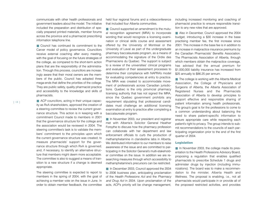communicate with other health professionals and government leaders about the model. The initiative included the preparation and distribution of specially prepared printed materials, member forums across the province and a pharmacist prescribing information telephone line.

■ Council has continued its commitment to the Carver model of policy governance. Councillors receive external coaching after every meeting, with the goal of focusing on the future strategies of the college, as compared to the short-term action plans that are the responsibility of the administration. Through this process, councillors are increasingly aware that their moral owners are the members of the public. Council has adopted three mega-ends that define the priorities of the college. They are public safety, quality pharmacist practice and accessibility to the knowledge and skills of pharmacists.

■ ACP councillors, acting in their unique capacity as RxA shareholders, approved the creation of a steering committee to review the current governance structure. This action is in keeping with a commitment Council made to members in 2001 that the governance structure for the college and the association would be reviewed in 2004. The steering committee's task is to validate the members' commitment to the principles upon which the current governance structure was created; to measure pharmacists' support for the governance structure through which RxA is governed; and, if necessary, to identify an alternative structure that members might deem more acceptable. The committee is also to suggest a means of transition to a new structure if a change is deemed appropriate.

The steering committee is expected to report to members in the spring of 2004, with the goal of achieving a member vote on the issue in June. In order to obtain member feedback, the committee held four regional forums and a videoconference that included four Alberta communities.

■ Council supported an amendment to the mutual recognition agreement (MRA) to incorporate wording that would recognize a licensing examination or clinical skills course and assessment offered by the University of Montreal or the University of Laval as part of the undergraduate pharmacy baccalaureate program, as a means of accommodating the signature of the Ordre des Pharmaciens du Quebec. The support is subject to a review of the universities' clinical programs and evaluation of their assessment processes to determine their compliance with NAPRA's model for evaluating competencies at entry to practice. The MRA was created to accommodate movement of professionals across Canadian jurisdictions. Quebec is the only provincial pharmacy licensing authority that has not signed the MRA, since the Quebec government prohibits any requirement stipulating that professional candidates must challenge an additional licensing examination at entry to practice after completing a baccalaureate program.

■ In November 2003, our president and registrar met with Alberta's Solicitor General Heather Forsythe to discuss how the pharmacy profession can collaborate with her department and law enforcement officials to curb the production of methamphetamine in clandestine labs in Alberta. We distributed information to our members to raise awareness of the issue and are committed to participating in the Solicitor General's multi-stakeholder committee on the issue. In addition we are researching measures through which accessibility to methamphetamine's precursors can be restricted.

■ In December 2003, Council approved the 2004 to 2006 business plan, anticipating proclamation of the *Health Professions Act* and the *Pharmacy and Drug Act* in 2004. Upon proclamation of the acts, ACP's priority will be change management,

including increased monitoring and coaching of pharmacist practice to ensure responsible transition to any new roles that are approved.

■ Also in December, Council approved the 2004 budget, introducing a \$30 increase in the base practising member fee, the first increase since 2001. This increase in the base fee is in addition to an increase in malpractice insurance premiums by the Canadian Pharmacists' Benefits Association. The Pharmacists Association of Alberta, through which members obtain the malpractice coverage, has advised that the annual premium for \$1,000,000 liability insurance has increased from \$25 annually to \$86.25 per annum.

■ The college is working with the Alberta Medical Association, the College of Physicians and Surgeons of Alberta, the Alberta Association of Registered Nurses and the Pharmacists Association of Alberta to develop principles to support effective and responsible sharing of patient information among health professionals. The group's goal is for the professions to come to a common understanding about balancing the need to share patient-specific information to ensure appropriate care while respecting each patient's right to privacy. The group intends to submit recommendations to the councils of each participating organization prior to the end of the first quarter of 2004.

#### **Legislation**

■ In November 2003, the college made its presentation to the Health Professions Advisory Board, proposing a regulation that enables qualified pharmacists to prescribe Schedule 1 drugs and administer drugs by injection (including immunizations). The board was to make a recommendation to the minister, Alberta Health and Wellness. The proposal is enabling, i.e., not all pharmacists would participate in or provide all of the proposed restricted activities, and provides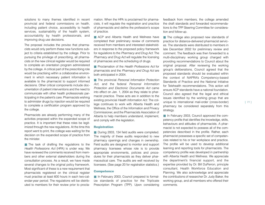solutions to many themes identified in recent provincial and federal commissions on health, including patient choice, accessibility to health services, sustainability of the health system, accountability by health professionals, and improving drug use decisions.

The proposal includes the proviso that pharmacists would only perform these new functions subject to criteria established by the college. Prior to pursuing the privilege of prescribing, all pharmacists on the new clinical register would be required to complete an orientation program administered by the college. A critical part of the prescribing role would be practising within a collaborative environment in which necessary patient information is available to the pharmacist to support informed decisions. Other critical components include documentation of patient interventions and the need to communicate with other health professionals participating in the patient's care. Pharmacists wishing to administer drugs by injection would be required to complete a certification program approved by the college.

Pharmacists are already performing many of the activities proposed within the expanded scope of practice. It is important that these roles be legitimized through the new regulations. At the time this report went to print, the college was waiting for the decision on the expanded scope of practice from the minister.

■ The task of drafting the regulations to the *Health Professions Act* (HPA) is under way. We have reviewed the comments received from members and other external stakeholders during the consultation process. As a result, we have made several changes to the original policy framework. Most significant of these is a new requirement that pharmacists registered on the clinical register must practise at least 600 hours in each two-calendar-year period. The regulations will be distributed to members for their review prior to proclamation. When the HPA is proclaimed for pharma cists, it will regulate the registration and practice of pharmacists and define the profession's scope of practice.

■ ACP and Alberta Health and Wellness have completed their preliminary review of comments received from members and interested stakeholders in response to the proposed policy framework for regulations to the *Pharmacy and Drug Act*. The *Pharmacy and Drug Act* will regulate the licensing of pharmacies and the scheduling of drugs.

■ Proclamation of the *Health Professions Act* for pharmacists and the *Pharmacy and Drug Act* are both anticipated in 2004.

■ The provincial *Personal Information Protection Act*, and the federal *Personal Information Protection and Electronic Documents Act* came into effect on Jan. 1, 2004 as they relate to pharmacist practice. These acts are in addition to the existing provincial *Health Information Act*. The college continues to work with Alberta Health and Wellness, the Office of the Information and Privacy Commissioner, and the Pharmacists Association of Alberta to help members understand, implement, and comply with the legislation.

#### **Registration**

■ During 2003, 134 field audits were completed. The majority of these audits responded to new pharmacy openings and changes in ownership. Field audits are designed to monitor and support pharmacy licensees whose role is to provide appropriate environments, policies and procedures for their pharmacists as they deliver pharmaceutical care. The audits are well received by licensees. (See page 20 for registration statistics.)

#### **Competence**

■ In February 2003, Council prepared to formalize standards of practice for the Triplicate Prescription Program (TPP). Upon considering

feedback from members, the college amended the draft standards and forwarded recommendations to the TPP Steering Committee for consideration and follow-up.

■ The college also proposed new standards of practice for distance-delivered pharmacist services. The standards were distributed to members in late December 2002 for preliminary review and comment. The feedback was then forwarded to a multi-disciplinary working group charged with providing recommendations to Council about the original proposal. After reviewing the working group's deliberations, Council agreed that the proposed standards should be evaluated within the context of NAPRA's Competency-based Standards of Practice and the National Initiative for Telehealth recommendations. This action will ensure ACP standards have a national foundation. Council also agreed that the legal and ethical issues identified by the working group that are unique to international mail-order (cross-border) pharmacy be considered separately from this strategy.

■ In February 2003, Council approved the competency profile that identifies the knowledge, skills, behaviours and attitudes of pharmacists. A pharmacist is not expected to possess all of the competencies described in the profile. Rather, each pharmacist possesses a specific set of competencies related to his or her workplace and practice. The profile will be used to develop additional learning and reporting tools for pharmacists. The competency profile was developed in partnership with Alberta Health and Wellness. We appreciate the department's financial support, and the expertise provided by Dr. Bill DuPerron, principle consultant, Health Workforce Education and Planning. We also acknowledge and appreciate the contributions of researcher Dr. Judy Baker, the working group, and all members who offered their comments.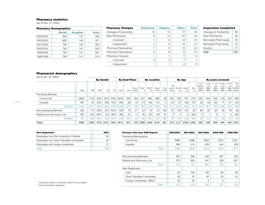# **Pharmacy statistics**

(as of Dec. 31, 2003)

| <b>Pharmacy Demographics</b> |               |                 |              |  |  |  |  |  |
|------------------------------|---------------|-----------------|--------------|--|--|--|--|--|
|                              | <b>Retail</b> | <b>Hospital</b> | <b>Total</b> |  |  |  |  |  |
| 2003/2004                    | 856           | 137             | 993          |  |  |  |  |  |
| 2002/2003                    | 829           | 142             | 971          |  |  |  |  |  |
| 2001/2002                    | 790           | 140             | 930          |  |  |  |  |  |
| 2000/2001                    | 793           | 141             | 934          |  |  |  |  |  |
| 1999/2000                    | 780           | 141             | 921          |  |  |  |  |  |
| 1998/1999                    | 769           | 141             | 910          |  |  |  |  |  |

| <b>Pharmacy Changes</b>     | <b>Edmonton</b> | <b>Calgary</b> | <b>Other</b> | <b>Total</b> |
|-----------------------------|-----------------|----------------|--------------|--------------|
| Changes of Ownership        | 10              | 13             | 17           | 40           |
| New Pharmacies              | 6               | 12             | 24           | 42           |
| Corporate                   |                 | 6              | 14           | 21           |
| Independent                 | 5               | 6              | 10           | 21           |
| <b>Pharmacy Renovations</b> | 7               | 5              | 12           | 24           |
| Pharmacy Relocations        | 5               | 8              | 8            | 21           |
| <b>Pharmacy Closures</b>    |                 |                |              | 9            |
| Corporate                   | Ω               | n              |              |              |
| Independent                 |                 |                | 6            | 8            |

| <b>Inspections Completed</b> |     |  |  |  |
|------------------------------|-----|--|--|--|
| Changes of Ownership         | 39  |  |  |  |
| New Pharmacies               | 43  |  |  |  |
| <b>Renovated Pharmacies</b>  | 22  |  |  |  |
| <b>Relocated Pharmacies</b>  | 13  |  |  |  |
| Routine                      | 17  |  |  |  |
| Total                        | 134 |  |  |  |

#### **Pharmacist demographics** (as of Jan. 23, 2004)

| (dS UI JdH. ZJ, ZUU4)      |       |      |       |                  |                      |      |     |                   |                    |             |                   |               |                       |                     |                     |                          |                                    |                                    |                                            |                                     |                                     |                                          |
|----------------------------|-------|------|-------|------------------|----------------------|------|-----|-------------------|--------------------|-------------|-------------------|---------------|-----------------------|---------------------|---------------------|--------------------------|------------------------------------|------------------------------------|--------------------------------------------|-------------------------------------|-------------------------------------|------------------------------------------|
|                            |       |      |       | <b>By Gender</b> | <b>By Grad Place</b> |      |     |                   | <b>By Location</b> |             |                   | <b>By Age</b> |                       |                     |                     | <b>By years Licensed</b> |                                    |                                    |                                            |                                     |                                     |                                          |
|                            | Total | M#   | $M\%$ | F#               | F%                   | UofA | Cdn | Out of<br>Country | RHA*               | RHA*<br>10. | Other<br>in AB    | Out<br>of AB  | 29<br>$Vrs$ &<br>less | 30-39<br><b>Vrs</b> | 40-49<br><b>Vrs</b> | $50+$<br><b>Vrs</b>      | 5 yrs<br>& less<br>2004<br>$-2000$ | $6 - 10$<br>yrs<br>1999<br>$-1995$ | $11 - 15$<br><b>Vrs</b><br>1994<br>$-1990$ | $16 - 20$<br>yrs<br>1989<br>$-1985$ | $21 - 25$<br>yrs<br>1984<br>$-1980$ | $26+$<br><b>Vrs</b><br>1979 &<br>earlier |
| <b>Practising Member</b>   |       |      |       |                  |                      |      |     |                   |                    |             |                   |               |                       |                     |                     |                          |                                    |                                    |                                            |                                     |                                     |                                          |
| Community                  | 2809  | 1130 | 40%   | 1679             | 60%                  | 2044 | 580 | 184               | 837                | 988         | 888               | 96            | 453                   | 916                 | 767                 | 675                      | 592                                | 444                                | 428                                        | 318                                 | 342                                 | 685                                      |
| Hospital                   | 387   | 97   | 25%   | 290              | 75%                  | 282  | 93  | 12                | 113                | 156         | 118               | 0             | 24                    | 97                  | 159                 | 107                      | 22                                 | 43                                 | 66                                         | 71                                  | 61                                  | 124                                      |
| Subtotal                   | 3196  | 1227 | 38%   | 1969             | 62%                  | 2326 | 673 | 196               | 950                | 144         | 1006 <sub>1</sub> | 96            | $47-$                 | 1013                | 926                 | 782                      | 614                                | 487                                | 494                                        | 389                                 | 403                                 | 809                                      |
| Non-practising Member      | 333   | 115  | 35%   | 218              | 65%                  | 239  | 73  | 21                | 54                 | 70          | 25                | 184           | 37                    | 104                 | 100                 | 92                       | 46                                 | 50                                 | 52                                         | 58                                  | 39                                  | 88                                       |
| Retired and Honourary Life | 397   | 253  | 64%   | 144              | 36%                  | 306  | 81  |                   | 85                 | 132         | 99                | 81            | O                     |                     | C                   | 395                      |                                    |                                    | $\sim$                                     |                                     | 5                                   | 390                                      |
| Subtotal                   | 730   | 368  | 50%   | 362              | 50%                  | 545  | 154 | 32                | 139                | 202         | 124               | 265           | 37                    | 104                 | 100                 | 487                      | 46                                 | 51                                 | 54                                         | 59                                  | 42                                  | 478                                      |
| <b>Totals</b>              | 3926  | 1595 | 41%   | 2331             | 59%                  | 2871 | 827 | 228               | 1089               | 1346        | 1130 <sub>1</sub> | 361           | 514                   | 1117                | 1026                | 1269                     | 660                                | 538                                | 548                                        | 448                                 | 445                                 | 1287                                     |

| <b>New Registrants</b>                     | 2003 |
|--------------------------------------------|------|
| Graduates from the University of Alberta   | 93   |
| Graduates from other Canadian universities | 53   |
| Graduates with foreign credentials         |      |
| Total                                      |      |

| <b>Previous stats from AGM Reports</b> | 2002/2003 | 2001/2002 | 2001/2000 | 2000/1999 | 1999/1998 |
|----------------------------------------|-----------|-----------|-----------|-----------|-----------|
| Practising Membership                  |           |           |           |           |           |
| Community                              | 2698      | 2586      | 2484      | 2374      | 2331      |
| Hospital                               | 398       | 414       | 429       | 444       | 439       |
| Total                                  | 3096      | 3000      | 2913      | 2818      | 2770      |
|                                        |           |           |           |           |           |
| Non-practising Member                  | 353       | 368       | 349       | 367       | 403       |
| Retired and Honourary Life             | 373       | 363       | 341       | 333       | 307       |
| Total                                  | 726       | 731       | 690       | 700       | 710       |
| New Registrants                        |           |           |           |           |           |
| UofA                                   | 94        | 108       | 100       | 90        | 88        |
| Other Canadian Universities            | 53        | 76        | 40        | 33        | 41        |
| Foreign Credentials / MRA**            | 28        | 26        | 8         | 4         |           |
| Total                                  | 175       | 210       | 148       | 127       | 130       |

\* Numbering relates to December 2002 RHA boundaries

\*\* Mutual recognition agreement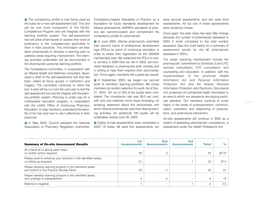■ The competency profile is now being used as the basis for a new self-assessment tool. This tool will be one more component of the RxCEL Competence Program and will integrate with the learning portfolio system. The self-assessment tool will allow pharmacists to assess their level of proficiency in the competencies applicable to them in their practices. This information will then allow pharmacists to develop a learning plan to address areas requiring improvement. The learning activities undertaken will be documented in the pharmacist's personal learning portfolio.

The Competence Committee, in cooperation with an Alberta Health and Wellness consultant, developed a draft of the self-assessment tool that has been vetted at focus groups in Edmonton and Calgary. The committee continues to refine the tool. A pilot will be run over the next year to test the self-assessment tool and its integrity with the learning portfolio system. Planning is under way for a multifaceted education program, in cooperation with the UofA's Office of Continuing Pharmacy Education, to help members understand the benefits of the tool and how to use it effectively in their practices.

■ In May 2003, Council adopted the National Association of Pharmacy Regulatory Authorities'

Competency-based Standards of Practice as a foundation for future standards development for Alberta pharmacists. NAPRA's standards of practice are outcome-based and complement the competency profile for pharmacists.

■ In June 2003, Alberta pharmacists submitted their second round of professional development logs (PDLs) as proof of continuing education in order to renew their registration for the 2003/04 membership year. We subjected the PDLs to closer scrutiny in 2003 than we did in 2002, and provided feedback to pharmacists both verbally and in writing to help them improve their documentation. Once again, members did a great job overall.

■ In September 2003, we began our second audit of members' learning portfolios. We chose members by random selection for audit. As of Dec. 31, 2003, 197 out of 200 of the audits were completed. The compliance rate was 99.5 per cent, with only one relatively minor issue emerging, an amazing statement about the seriousness with which Alberta pharmacists view their lifelong learning activities. An additional 100 audits will be undertaken before June 30, 2004.

■ Eighty on-site assessments were completed in 2003. Of these, 68 were first assessments, ten

were second assessments, and two were third assessments. All but one of these assessments were randomly chosen.

Once again, the peer mean has seen little change because the number of pharmacists assessed in 2003 is small compared to the total number assessed. (See the chart below for a summary of assessment results for the 80 pharmacists assessed in 2003.)

The areas requiring improvement include the pharmacists' commitment to Schedule 2 and OTC narcotic consultation, OTC consultation, and counselling and education. In addition, with the implementation of the provincial *Health Information Act* and *Personal Information Protection Act*, and the federal *Personal Information Protection and Electronic Documents Act*, protection of confidential health information is an area to which our assessors are paying particular attention. Our members continue to score highly in the areas of professionalism, communication, evaluation and dispensing of prescriptions, and pharmacist intervention.

On-site assessments will continue in 2004 as a means of assessing pharmacists' competence, a requirement under the *Health Professions Act*.

| <b>Summary of On-site Assessment Results</b>                                                        | 1st<br><b>Assessments</b> | 2 <sub>nd</sub><br><b>Assessments</b> | 3rd<br><b>Assessments</b> | <b>Total</b> | $\%$  |
|-----------------------------------------------------------------------------------------------------|---------------------------|---------------------------------------|---------------------------|--------------|-------|
| All criteria at or above peer mean,<br>no further action required                                   | 20                        | 3                                     |                           | 23           | 28.75 |
| Please work to enhance your practice in the identified areas,<br>no follow-up required              | 21                        |                                       |                           | 22           | 27.5  |
| Please develop learning projects in the identified areas<br>and submit to the Practice Review Panel | 23                        | 2                                     |                           | 25           | 31    |
| Please develop learning projects in the identified areas<br>and undergo a reassessment              | 3                         | 5                                     |                           | 8            | 10    |
| Referral to registrar                                                                               |                           |                                       |                           | 2            | 2.5   |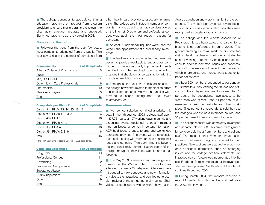■ The college continues to accredit continuing education programs on request from program providers to ensure that programs are relevant to pharmacist practice, accurate and unbiased. Eighty-four programs were reviewed in 2003.

#### **Complaints Resolution**

■ Following the trend from the past few years, most complaints originated from the public. This year saw a rise in the number of complaints from

| <b>Complainants</b>             | # of Complaints |
|---------------------------------|-----------------|
| Alberta College of Pharmacists  | 5               |
| Public                          | 21              |
| MD. DDS. DVM                    |                 |
| Other Health Care Professionals | 6               |
| Pharmacists                     | 10              |
| Third-party Payers              | З               |
| Total:                          |                 |

| <b>Complaints per District*</b>       | # of Complaints |
|---------------------------------------|-----------------|
| District #1 - RHAs 13, 14, 15, 16, 17 | 1               |
| District #2 - RHAs 1, 2, 3, 5         | 6               |
| District #3 - RHA 10                  | 16              |
| District #4 - RHAs 7, 12              | 1               |
| District #5 - RHA 4                   | 16              |
| District #6 - RHAs 6, 8, 9            | 6               |
| Total:                                | 46              |

\* The RHA numbering relates to December 2002 boundaries.

| <b>Complaint Categories</b> | # of Complaints |
|-----------------------------|-----------------|
| Drug Error                  | 19              |
| <b>Professional Conduct</b> | 11              |
| Advertising                 |                 |
| Professional Competence     |                 |
| Substance Abuse             |                 |
| Audits/Inspections          |                 |
| Other                       | 9               |
| Total:                      |                 |

other health care providers, especially pharmacists. The college also initiated a number of complaints, many to do with pharmacy services offered on the Internet. Drug errors and professional conduct were again the most frequent reasons for complaint.

■ At least 98 additional inquiries were resolved without the appointment of a preliminary investigator.

■ The feedback tool implemented last year has begun to provide feedback to support our commitment to continuous quality improvement. Trends identified from the feedback tool have led to changes that should enhance satisfaction with the complaint resolution process.

■ Throughout the year we published articles in the college newsletter related to medication errors and practice concerns. Many of the articles were devoted to issues arising from the *Health Information Act*.

#### **Communication**

■ Member consultation remained a priority this year. In fact, throughout 2003, college staff spent 1,477.75 hours, or 197 working days, planning and executing events designed to obtain member input on issues or convey important information. ACP held focus groups, forums and workshops across the province. The events were a successful means of meeting with members and hearing their ideas and concerns. This commitment is beyond the traditional daily communication efforts of the college through its newsletter, website and e-mail services.

■ The May 2003 conference and annual general meeting at the Westin Hotel in Edmonton was attended by over 220 delegates. Attendees were introduced to new concepts and new information of value to their practices, and contributed to decision making at the annual general meeting. Short videos of each award winner were shown at the Awards Luncheon and were a highlight of the conference. The videos portrayed our award recipients in action and demonstrated why they were recognized as outstanding pharmacists.

■ The college and the Alberta Association of Registered Nurses have agreed to partner for a historic joint conference in June 2005. This ground-breaking event will mark the first time two distinct health professions will demonstrate the spirit of working together by holding one conference to address common issues and concerns. The joint conference will reflect the manner in which pharmacists and nurses work together for better patient care.

■ About 500 members responded to our January 2003 website survey, offering their kudos and criticisms of the college's site. We discovered that 75 per cent of the respondents have access to the world wide web at work, and 54 per cent of our members access our website from their workplace. Sixty per cent of respondents said they use the college's website as a reference source, and 51 per cent use it to monitor new information.

■ The college website was completely revamped and updated late in 2003. This project was guided by considerable input from members and college staff. The result is that members have easier access to information regularly required for their practices. New sections were added to accommodate additional information, such as emerging issues and the college position statements. An improved search feature was incorporated into the site. Feedback from members about the revamped site has been positive. Modification of the site will continue throughout 2004.

■ During March 2004, the website received a record 1.5 million hits. This number is almost twice the 2003 monthly norm.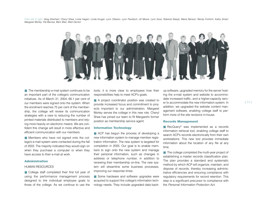*From left to right: Greg Eberhart; Cheryl Shea; Linda Hagen; Linda Kruger; Lynn Otteson, Lynn Paulitsch; Jill Moore; Lynn Szoo; Roberta Stasyk; Maria Ranson; Randy Frohlich; Kathy Smart; Margaret Morley; Pat Barnes; Merv Blair; Misti Denton* 



■ The membership e-mail system continues to be an important part of the college's communication initiatives. As of March 31, 2004, 66.1 per cent of our members were signed onto the system. When the enrolment reaches 75 per cent of the membership, the college will review its communication strategies with a view to reducing the number of printed materials distributed to members and relying more heavily on electronic means. We are confident this change will result in more effective and efficient communication with our members.

■ Members who have not signed onto the college's e-mail system were contacted during the fall of 2003. The majority indicated they would sign on when they purchase a computer or when they have access to their e-mail at work.

#### **Administration**

#### HUMAN RESOURCES

■ College staff completed their first full year of using the performance management process designed to link individual employee goals to those of the college. As we continue to use the tools, it is more clear to employees how their responsibilities help to meet ACP's goals.

■ A project coordinator position was created to provide increased focus and commitment to projects important to our administration. Margaret Morley serves the college in this new role. Cheryl Shea has joined our team to fill Margaret's former position as membership service agent.

#### **Information Technology**

■ ACP has begun the process of developing a new information system to manage member registration information. The new system is targeted for completion in 2005. Our goal is to enable members to sign onto the new system and manage their personal information, such as changes in address or telephone number, in addition to renewing their membership on-line. The new system will streamline some business processes, improving our response times.

■ Some hardware and software upgrades were acquired to support the college's information technology needs. They include upgraded data backup software, upgraded memory for the server host ing the e-mail system and website to accommo date increased traffic, and a higher-capacity serv er to accommodate the new information system. In addition, we upgraded the website content man agement software, enabling college staff to per form more of the site revisions in-house.

#### **Records Management**

■ RecQuery<sup>®</sup> was implemented as a records information retrieval tool, enabling college staff to search ACP's records electronically from their own workstations. This new tool provides immediate information about the location of any file at any time.

■ The college completed the multi-year project of establishing a master records classification plan. The plan provides a standard and systematic method by which ACP will organize, maintain, and dispose of records, thereby increasing adminis trative efficiencies and ensuring compliance with regulatory requirements for record retention. This step is a significant precursor to compliance with er to accommodate the new information system. In<br>addition, we upgraded the website content man-<br>agement software, enabling college staff to per-<br>form more of the site revisions in-house.<br>**Records Management**<br>**PecQuery<sup>®</sup> w**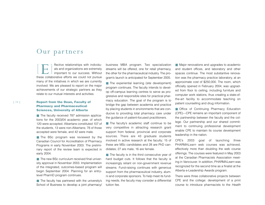# Our partners

 $\sqrt{2}$ E ] ffective relationships with individu- als and organizations are extremely important to our success. Without these collaborative efforts we could not pursue many of the initiatives in which we are currently involved. We are pleased to report on the major achievements of our strategic partners as they relate to our mutual interests and activities.

## **Report from the Dean, Faculty of Pharmacy and Pharmaceutical Sciences, University of Alberta**

■ The faculty received 787 admission applications for the 2003/04 academic year, of which 120 were accepted. Albertans constituted 107 of the students, 13 were non-Albertans; 78 of those accepted were female, and 42 were male.

■ The BSc program was reviewed by the Canadian Council for Accreditation of Pharmacy Programs in early November 2003. The preliminary report of the review team is expected in early 2004.

■ The new BSc curriculum received final university approval in November 2003. Implementation of the integrated, outcomes-based program will begin September 2004. Planning for an entrylevel PharmD program continues.

■ The faculty has partnered with the university's School of Business to develop a joint pharmacy/ business MBA program. Two specialization streams will be offered, one for retail pharmacy, the other for the pharmaceutical industry. The program's launch is anticipated for September 2005.

■ The experiential learning (site development) program continues. The faculty intends to develop off-campus learning centres to serve as progressive and responsible sites for practical pharmacy education. The goal of the program is to bridge the gap between academia and practice by placing students in environments that are conducive to providing total pharmacy care under the guidance of patient-focused practitioners.

■ The faculty's academic staff continue to be very competitive in attracting research grant support from federal, provincial and corporate sources. There are 43 graduate students involved in active research at the faculty; 15 of these are MSc candidates and 28 are PhD candidates; 27 are male, 16 are female.

■ The faculty is in the third consecutive year of hard budget cuts. It follows that the faculty is increasingly reliant on non-government revenue streams. Fund-raising continues with generous support from the pharmaceutical industry, alumni and corporate sponsors. To help meet its funding needs, the faculty may consider a differential tuition fee.

■ Major renovations and upgrades to academic and student offices, and laboratory and other spaces continue. The most substantive renovation was the pharmacy practice laboratory, at an approximate cost of \$250,000. The room, which officially opened in February 2004, was upgraded from floor to ceiling, including furniture and computer work stations, thus creating a state-ofthe-art facility to accommodate teaching on patient counselling and drug information.

■ Office of Continuing Pharmacy Education (CPE)—CPE remains an important component of the partnership between the faculty and the college. Our partnership and our shared commitment to continuing professional development enable CPE to maintain its course development leadership in the nation.

CPE's 2003 goal of launching three PHARMA*Learn* web courses was achieved, effectively more than doubling the web course offerings. The courses were featured in May 2003 at the Canadian Pharmacists Association meeting in Vancouver. In addition, PHARMA*Learn* was recognized for the second time as a finalist at the Alberta e-Leadership Awards program.

There were three collaborative projects between CPE and the college: development of a print course to introduce pharmacists to the *Health*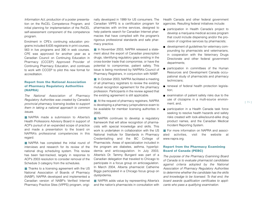*Information Act*, production of a poster presentation on the RxCEL Competence Program, and initial planning for implementation of the RxCEL self-assessment component of the competence program.

Enrolment in CPE's continuing education programs included 8,635 registrants in print courses, 563 in live programs and 390 in web courses. CPE was approved for another year as a Canadian Council on Continuing Education in Pharmacy (CCCEP) Approved Provider of Continuing Pharmacy Education, and continues to work with CCCEP to pilot this new format for accreditation.

# **Report from the National Association of Pharmacy Regulatory Authorities (NAPRA)**

*The National Association of Pharmacy Regulatory Authorities was created by Canada's provincial pharmacy licensing bodies to support them in taking a national approach to common issues.*

■ NAPRA made a submission to Alberta's Health Professions Advisory Board in support of ACP's pursuit of an expanded scope of practice and made a presentation to the board on NAPRA's professional competencies in this regard.

■ NAPRA has completed the initial round of interviews and research for its review of the national drug scheduling system. This review has been fast-tracked, largely in response to ACP's 2003 resolution to consider removal of the Schedule 3 category from the schedules.

■ Thanks to a licensing agreement with the US National Association of Boards of Pharmacy (NABP), NAPRA developed and implemented a Canadian version of NABP's Verified Internet Pharmacy Practice Sites (VIPPS) program, originally developed in 1999 for US consumers. The Canadian VIPPS is a certification program for pharmacies with on-line services, designed to help patients search for Canadian Internet phar macies that have complied with the program's rigorous professional standards and safe phar macy practice.

■ In November 2003, NAPRA released a statement about the export of Canadian prescription drugs, identifying regulatory gaps existing in the cross-border trade that compromise, or have the potential to compromise, patient safety. This issue is being monitored by NAPRA's Council of Pharmacy Registrars, in conjunction with NABP.

■ In October 2003, NAPRA facilitated a meeting of all pharmacy registrars to review the existing mutual recognition agreement for the pharmacy profession. Participants in the review agreed that the existing agreement is still applicable.

■ At the request of pharmacy registrars, NAPRA is developing a pharmacy jurisprudence exam to be available for member licensing authorites in 2005.

■ NAPRA continues to develop a regulatory framework that will allow recognition of pharmacists with special knowledge and skills. This work is undertaken in collaboration with the US National Institute for Standards in Pharmacy Credentialling and the BC College of Pharmacists. Areas of specialization included in the program are diabetes, asthma, hyperlipidemia and anticoagulation. In July 2003, Alberta's Dr. Tammy Bungard was part of a Canadian delegation that traveled to Chicago to participate in a focus group on anticoagulation. In March 2004, Alberta pharmacist Catherine Biggs participated in a Chicago focus group on dyslipidemia.

■ NAPRA adds value by representing Alberta's and the nation's pharmacists in consultation with Health Canada and other federal government agencies. Resulting federal initiatives include:

- participation in Health Canada's project to develop a marijuana medical access program that could include dispensing and/or the provision of cognitive services by pharmacists;
- development of guidelines for veterinary compounding by pharmacists and veterinarians, in cooperation with the Veterinary Drugs Directorate and other federal government departments;
- participation in committees of the Human Resources and Development Canada occupational study of pharmacists and pharmacy technicians;
- renewal of federal health protection legislation;
- examination of patient safety risks due to the use of clozapine in a multi-source environment; and,
- participation in a Health Canada task force seeking to resolve health hazards and safety risks created with look-alike/sound-alike drug product names, and the Canadian Medical Incident Reporting System.

■ For more information on NAPRA and associated activities, visit the website at www.napra.org.

### **Report from the Pharmacy Examining Board of Canada (PEBC)**

*The purpose of the Pharmacy Examining Board of Canada is to evaluate pharmacist candidates against criteria adopted by the National Association of Pharmacy Regulatory Authorities to determine whether the candidate has the skills and knowledge to be licensed. To that end, the board awards qualification certificates to applicants who pass a qualifying examination.*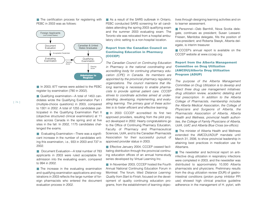■ The certification process for registering with PEBC in 2003 was as follows:



■ In 2003, 877 names were added to the PEBC register by examination (780 in 2002).

■ Qualifying examination—A total of 1453 candidates wrote the Qualifying Examination Part I (multiple-choice questions) in 2003, compared to 1301 in 2002. A total of 1255 candidates participated in the Qualifying Examination Part II (objective structured clinical examination) at 11 sites across Canada in the spring and at five sites in the fall. In 2002, 1175 candidates challenged the exams.

■ Evaluating Examination—There was a significant increase in the number of candidates writing this examination, i.e., 933 in 2003 and 737 in 2002.

■ Document Evaluation—A total number of 783 applicants in 2003 were ruled acceptable for admission into the evaluating exam, compared to 994 in 2002.

■ The increase in the evaluating examination and qualifying examination applications and registrations in 2003 reflects the large number of foreign pharmacists who entered the document evaluation process in 2002.

■ As a result of the SARS outbreak in Ontario, PEBC conducted SARS screening for all candidates attending the spring 2003 qualifying exam and the summer 2003 evaluating exam. The Toronto site was relocated from a hospital ambulatory clinic setting to a non-hospital location.

# **Report from the Canadian Council on Continuing Education in Pharmacy (CCCEP)**

*The Canadian Council on Continuing Education in Pharmacy is the national coordinating and accrediting body for continuing pharmacy education (CPE) in Canada. Its members are appointed by the provincial pharmacy regulatory organizations. The council maintains that lifelong learning is necessary to enable pharmacists to provide optimal patient care. CCCEP strives to coordinate activities aimed at understanding, developing, implementing, and evaluating learning. The primary goal of these activities is to foster efficient and effective learning.*

■ In 2003 CCCEP accredited its first two approved providers, resulting from the pilot project developed in 2002. Hearty congratulations go to the Office of Continuing Pharmacy Education, Faculty of Pharmacy and Pharmaceutical Sciences, UofA, and to the Canadian Pharmacists Association for their successful pursuit of approved provider status in 2003.

■ Effective January 2004, CCCEP ceased facilitating distribution through the provincial continuing education offices of an annual home-study series developed by Virtual Learning Inc.

■ In November 2003, CCCEP hosted the Fourth Annual National Continuing Education Forum in Montreal. The forum, titled *Distance Learning: Quality from Start to Finish*, focused on the development of quality continuing education programs, from the establishment of learning objectives through designing learning activities and on to learner assessment.

■ Personnel—Deb Barnhill, Nova Scotia delegate, continues as president; Susan Lessard-Friesen, Manitoba delegate, fills the position of vice-president; and Roberta Stasyk, Alberta delegate, is interim treasurer.

■ CCCEP's annual report is available on the CCCEP website at www.cccep.org.

# **Report from the Alberta Management Committee on Drug Utilization (AMCDU)/Alberta Drug Utilization Program (ADUP)**

*The purpose of the Alberta Management Committee on Drug Utilization is to develop and direct three drug use management initiatives: drug utilization review, academic detailing and trial prescription. In addition to the Alberta College of Pharmacists, membership includes the Alberta Medical Association, the College of Physicians and Surgeons of Alberta, the Pharmacists Association of Alberta, Alberta Health and Wellness, provincial health authorities, the College of Family Physicians of Alberta, UofA, UofC and Alberta Blue Cross (ex-officio).*

■ The minister of Alberta Health and Wellness extended the AMCDU/ADUP mandate until March 31, 2006, to show provincial leadership in attaining best practices in medication use for **Albertans** 

■ The newsletter and technical report on antiinfective drug utilization in respiratory infections were completed in 2003, and the newsletter was distributed to approximately 10,000 Alberta pharmacists and physicians. Preliminary results from the drug utilization review (DUR) of gastrointestinal conditions (proton pump inhibitor PPI use) showed high clinical practice guideline adherence in the management of H. pylori, with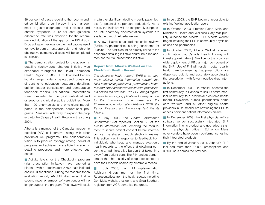86 per cent of cases receiving the recommended combination drug therapy. In the management of gastro-esophageal reflux disease and chronic dyspepsia, a 42 per cent guideline adherence rate was observed for the recommended duration of therapy for the PPI drugs. Drug utilization reviews on the medications used for dyslipidemia, osteoporosis and chronic obstructive pulmonary disease will be completed in 2004/05.

■ The demonstration project for the academic detailing (behavioural change) initiative was expanded throughout the David Thompson Health Region in 2003. A multifaceted behavioural change model is being used, consisting of continuing education, academic detailing, opinion leader consultation and comparative feedback reports. Educational interventions were completed for the gastro-intestinal and osteoporosis clinical practice guidelines. More than 100 pharmacists and physicians participated in the osteoporosis educational programs. Plans are under way to expand the project into the Calgary Health Region in the spring 2004.

Alberta is a member of the Canadian academic detailing (AD) collaborative, along with other provincial AD programs. The collaborative's vision is to produce synergy among individual programs and achieve more efficient academic detailing processes and more effective outcomes.

■ Activity levels for the Checkpoint program (trial prescription initiative) have reached a plateau, with approximately 2,500 trials initiated and 300 discontinued. During the research for an evaluation report, AMCDU discovered that a second major pharmacy software vendor will no longer support the program. This news will result in a further significant decline in participation levels (a potential 50-per-cent reduction). As a result, the initiative will be temporarily suspended until pharmacy documentation systems are available through Alberta Wellnet.

■ A new initiative, structured medication reviews (SMRs) by pharmacists, is being considered for 2004/05. The SMRs could be directly linked to the academic detailing initiative and/or be a replacement for the trial prescription initiative.

#### **Report from Alberta Wellnet on the Electronic Health Record**

*The electronic health record (EHR) is an electronic clinical health information network that links community physicians, pharmacists, hospitals and other authorized health care professionals across the province. The EHR brings together three technology applications for easy access to the information. The three are the Pharmaceutical Information Network (PIN), the Person Directory and Laboratory Test Results History.*

■ In May 2003, the *Health Information Amendment Act* repealed Section 59 of the *Health Information Act*, removing the requirement to secure patient consent before information can be shared through electronic means. This action was in response to feedback from individuals who keep and manage electronic health records to the effect that obtaining consent is an administrative burden that takes time away from patient care. The PIN project demonstrated that the majority of people consented to have their records shared by electronic means.

■ In July 2003, the EHR Implementation Advisory Group met for the first time. Representatives from the health sector, including Don Makowichuk, president, and Greg Eberhart, registrar, from ACP, comprise the group.

■ In July 2003, the EHR became accessible to existing Wellnet application users.

■ In October 2003, Premier Ralph Klein and Minister of Health and Wellness Gary Mar publicly launched the Alberta EHR. Alberta Wellnet began installing the EHR in community physician offices and pharmacies.

■ In October 2003, Alberta Wellnet received confirmation that Canada Health Infoway will invest approximately \$16 million for the provincewide deployment of PIN, a major component of the EHR. Use of PIN will result in better quality health care by ensuring that prescriptions are dispensed quickly and accurately according to the prescription, with fewer negative drug interactions.

■ In December 2003, Drumheller became the first community in Canada to link its entire medical community to a provincial electronic health record. Physicians, nurses, pharmacists, home care workers, and all other eligible health providers in Drumheller are now using the EHR to access pertinent patient information on-line.

■ In December 2003, the first physician-office software vendor successfully integrated EHR information into its product and upgraded a system in a physician office in Edmonton. Many other vendors have begun conformance-testing their integrated products.

■ By the end of January 2004, Alberta's EHR included more than 16,000 prescriptions and 3,500 users across the province.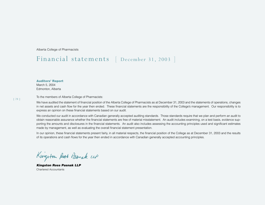Alberta College of Pharmacists

# Financial statements [ December 31, <sup>2003</sup> ]

**Auditors' Report** 

March 5, 2004 Edmonton, Alberta

To the members of Alberta College of Pharmacists:

We have audited the statement of financial position of the Alberta College of Pharmacists as at December 31, 2003 and the statements of operations, changes in net assets and cash flow for the year then ended. These financial statements are the responsibility of the College's management. Our responsibility is to express an opinion on these financial statements based on our audit.

We conducted our audit in accordance with Canadian generally accepted auditing standards. Those standards require that we plan and perform an audit to obtain reasonable assurance whether the financial statements are free of material misstatement. An audit includes examining, on a test basis, evidence supporting the amounts and disclosures in the financial statements. An audit also includes assessing the accounting principles used and significant estimates made by management, as well as evaluating the overall financial statement presentation.

In our opinion, these financial statements present fairly, in all material respects, the financial position of the College as at December 31, 2003 and the results of its operations and cash flows for the year then ended in accordance with Canadian generally accepted accounting principles.

Kingston Rost Pasmak up

*Kingston Ross Pasnak LLP* Chartered Accountants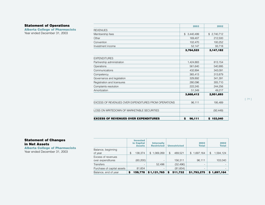# **Statement of Operations**

**Alberta College of Pharmacists** Year ended December 31, 2003

|                                                      | 2003         | 2002          |
|------------------------------------------------------|--------------|---------------|
| <b>REVENUES</b>                                      |              |               |
| Membership fees                                      | \$3,440,499  | \$2,740,712   |
| Other                                                | 169,407      | 212,500       |
| Convention                                           | 102,470      | 100,252       |
| Investment income                                    | 52,147       | 93,718        |
|                                                      | 3,764,523    | 3,147,182     |
| <b>EXPENDITURES</b>                                  |              |               |
| Partnership administration                           | 1,424,883    | 813,154       |
| Operations                                           | 561,640      | 540,995       |
| Communications                                       | 432,894      | 343,091       |
| Competency                                           | 365,413      | 313,879       |
| Governance and legislation                           | 329,892      | 341,391       |
| Registration and licensures                          | 280,096      | 305,710       |
| Complaints resolution                                | 222,245      | 244,256       |
| Amortization                                         | 51,349       | 49.217        |
|                                                      | 3,668,412    | 2,951,693     |
| EXCESS OF REVENUES OVER EXPENDITURES FROM OPERATIONS | 96,111       | 195,489       |
| LOSS ON WRITEDOWN OF MARKETABLE SECURITIES           |              | (92, 449)     |
| <b>EXCESS OF REVENUES OVER EXPENDITURES</b>          | \$<br>96,111 | 103,040<br>\$ |

# **Statement of Changes in Net Assets**

**Alberta College of Pharmacists** Year ended December 31, 2003

|                                         | <b>Invested</b><br>in Capital<br><b>Assets</b> | <b>Internally</b><br><b>Restricted</b> | <b>Unrestricted</b> | 2003<br><b>Total</b>      | 2002<br><b>Total</b> |
|-----------------------------------------|------------------------------------------------|----------------------------------------|---------------------|---------------------------|----------------------|
| Balance, beginning<br>of year           | \$<br>138.374                                  | 1,069,269<br>\$                        | \$<br>489.521       | 1,697,164<br>$\mathbb{S}$ | \$<br>1,594,124      |
| Excess of revenues<br>over expenditures | (60, 200)                                      | $\overline{\phantom{a}}$               | 156,311             | 96,111                    | 103,040              |
| <b>Transfers</b>                        | $\overline{\phantom{a}}$                       | 52.496                                 | (52, 496)           |                           |                      |
| Purchase of capital assets              | 81,604                                         |                                        | (81,604)            |                           |                      |
| Balance, end of year                    | 159,778<br>\$                                  | \$1,121,765                            | 511,732<br>S        | \$1,793,275               | 1,697,164<br>S.      |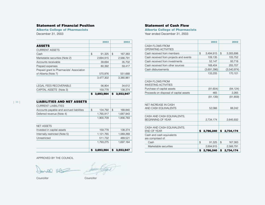### **Statement of Financial Position**

**Alberta College of Pharmacists** December 31, 2003

**2003 2002 ASSETS** CURRENT ASSETS Cash 3 91,325 \$ 167,383 Marketable securities (Note 2) 2,694,915 2,566,791 Accounts receivable 39,694 35,702 Prepaid expenses 80,392 59,417 Prepaid grant to Pharmacists' Association of Alberta (Note 7) 570,976 551,668 3,477,302 3,380,961 LEGAL FEES RECOVERABLE 56,904 34,612 CAPITAL ASSETS (Note 3) 159,778 138,374 **\$ 3,693,984 \$ 3,553,947 LIABILITIES AND NET ASSETS** CURRENT LIABILITIES Accounts payable and accrued liabilities  $\frac{1}{3}$  134,792  $\frac{1}{3}$  168,840 Deferred revenue (Note 4) 1,765,917 1,687,943 1,900,709 1,856,783 NET ASSETS Invested in capital assets 159,778 138,374 Internally restricted (Note 5)  $1,121,765$  1,069,269 Unrestricted 511,732 489,521 1,793,275 1,697,164 **\$ 3,693,984 \$ 3,553,947**

# **Statement of Cash Flow**

**Alberta College of Pharmacists** Year ended December 31, 2003

|                                                        |                | 2003        | 2002            |
|--------------------------------------------------------|----------------|-------------|-----------------|
| <b>CASH FLOWS FROM</b><br><b>OPERATING ACTIVITIES</b>  |                |             |                 |
| Cash received from members                             | $\mathfrak{D}$ | 3,494,915   | \$<br>3,305,898 |
| Cash received from projects and events                 |                | 109,135     | 105,752         |
| Cash received from investments                         |                | 52,147      | 93,718          |
| Cash received from other sources                       |                | 168,404     | 205,707         |
| Cash disbursements                                     |                | (3,691,396) | (3,540,974)     |
|                                                        |                | 133,205     | 170,101         |
| CASH FLOWS FROM<br><b>INVESTING ACTIVITIES</b>         |                |             |                 |
| Purchase of capital assets                             |                | (81,604)    | (84, 124)       |
| Proceeds on disposal of capital assets                 |                | 465         | 2,265           |
|                                                        |                | (81, 139)   | (81, 859)       |
| <b>NET INCREASE IN CASH</b>                            |                |             |                 |
| AND CASH EQUIVALENTS                                   |                | 52,066      | 88.242          |
| CASH AND CASH EQUIVALENTS.<br><b>BEGINNING OF YEAR</b> |                | 2,734,174   | 2,645,932       |
|                                                        |                |             |                 |
| CASH AND CASH EQUIVALENTS.<br><b>END OF YEAR</b>       | \$             | 2,786,240   | \$<br>2,734,174 |
| Cash and cash equivalents<br>are comprised of:         |                |             |                 |
| Cash                                                   | \$             | 91,325      | \$<br>167,383   |
| Marketable securities                                  |                | 2,694,915   | 2,566,791       |
|                                                        | \$             | 2,786,240   | \$<br>2,734,174 |

APPROVED BY THE COUNCIL

- Imm füty was

Councillor Councillor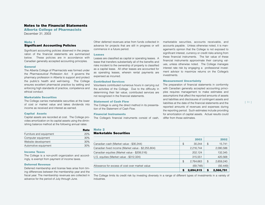### **Notes to the Financial Statements**

**Alberta College of Pharmacists** December 31, 2003

#### **Note 1**

#### **Significant Accounting Policies**

Significant accounting policies observed in the preparation of the financial statements are summarized below. These policies are in accordance with Canadian generally accepted accounting principles.

#### **General**

The Alberta College of Pharmacists was formed under the *Pharmaceutical Profession Act*. It governs the pharmacy profession in Alberta to support and protect the public's health and well-being. The College ensures excellent pharmacist practice by setting and enforcing high standards of practice, competence and ethical conduct.

#### **Marketable Securities**

The College carries marketable securities at the lower of cost or market value and takes dividends into income as received and interest as earned.

#### **Capital Assets**

Capital assets are recorded at cost. The College provides amortization on its capital assets using the diminishing balance method at the following annual rates:

| нате |
|------|
| 20%  |
| 30%  |
| 30%  |
| 30%  |
|      |

#### **Income Taxes**

The College is a non-profit organization and accordingly, is exempt from payment of income taxes.

#### **Deferred Revenue**

Deferred membership and license fees arise from timing differences between the membership year and the fiscal year. The membership revenues are collected in advance for the period of July through June.

Other deferred revenues arise from funds collected in advance for projects that are still in progress or will commence in a future period.

#### **Leases**

Leases are classified as capital or operating leases. A lease that transfers substantially all of the benefits and risks incident to the ownership of property is classified as a capital lease. All other leases are accounted for as operating leases, wherein rental payments are expensed as incurred.

#### **Contributed Services**

Volunteers contributed numerous hours in carrying out the activities of the College. Due to the difficulty in determining their fair value, contributed services are not recognized in the financial statements.

#### **Statement of Cash Flow**

The College is using the direct method in its presentation of the Statement of Cash Flow.

#### **Financial Instruments**

The College's financial instruments consist of cash,

marketable securities, accounts receivable, and accounts payable. Unless otherwise noted, it is management's opinion that the College is not exposed to significant interest, currency or credit risks arising from these financial instruments. The fair value of these financial instruments approximate their carrying values, unless otherwise noted. The College manages interest rate risk by engaging a professional investment advisor to maximize returns on the College's investments.

#### **Measurement Uncertainty**

The preparation of financial statements in conformity with Canadian generally accepted accounting principles requires management to make estimates and assumptions that affect the reported amounts of assets and liabilities and disclosures of contingent assets and liabilities at the date of the financial statements and the reported amounts of revenues and expenses during the reporting period. Such estimates include providing for amortization of capital assets. Actual results could differ from those estimates.

#### **Note 2**

**Rate**

#### **Marketable Securities**

|                                                    | 2003            |    | 2002      |
|----------------------------------------------------|-----------------|----|-----------|
| Canadian cash (Market value - \$30,244)            | \$<br>30.244    | \$ | 15,741    |
| Canadian fixed income (Market value - \$2,255,804) | 2,216,744       |    | 2,090,586 |
| Canadian equities (Market value - \$208,516)       | 202,124         |    | 132,345   |
| U.S. equities (Market value - \$312,324)           | 315.551         |    | 420,568   |
|                                                    | \$<br>2,764,663 | S  | 2,659,240 |
| Allowance for excess of cost over market value     | (69, 748)       |    | (92, 449) |
|                                                    | 2.694.915       |    | 2,566,791 |

The College limits its credit risk by investing diversely in a range of different types of investments in a variety of industries.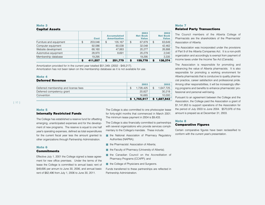#### **Note 3 Capital Assets**

| PAPILAI MOJULO          |               |                                           |    |                                         |                                         |
|-------------------------|---------------|-------------------------------------------|----|-----------------------------------------|-----------------------------------------|
|                         | <b>Cost</b>   | <b>Accumulated</b><br><b>Amortization</b> |    | 2003<br><b>Net Book</b><br><b>Value</b> | 2002<br><b>Net Book</b><br><b>Value</b> |
| Furniture and equipment | \$<br>203,046 | \$<br>135.167                             | \$ | 67.879                                  | \$<br>63,649                            |
| Computer equipment      | 92,086        | 60,038                                    |    | 32,048                                  | 42,462                                  |
| Website development     | 68,160        | 47,883                                    |    | 20,277                                  | 26,888                                  |
| Automotive equipment    | 28.970        | 8.691                                     |    | 20,279                                  | 2,040                                   |
| Membership database     | 19.295        | $\overline{\phantom{0}}$                  |    | 19.295                                  | 3,335                                   |
|                         | \$<br>411,557 | \$<br>251,779                             | S  | 159,778                                 | 138.374                                 |

Amortization provided for in the current year totalled \$51,349; (2002 - \$49,217). Amortization has not been taken on the membership database as it is not available for use.

#### **Note 4**

### **Deferred Revenue**

|                                      | \$1,765,917 | \$1,687,943 |
|--------------------------------------|-------------|-------------|
| Convention                           | 16.665      | 10.000      |
| Deferred competency grant            | 20.827      | 30.218      |
| Deferred membership and license fees | 1.728.425   | 1.647.725   |
|                                      | 2003        | 2002        |

# **Note 5**

#### **Internally Restricted Funds**

The College has established a reserve fund for offsetting emerging, unanticipated expenses and for the development of new programs. The reserve is equal to one half year's operating expenses, defined as total expenditures for the current fiscal year less the amount granted to other organizations through Partnership Administration.

#### **Note 6**

#### **Commitments**

Effective July 1, 2001 the College signed a lease agreement for new office premises. Under the terms of the lease the College is committed to annual basic rent of \$48,695 per annum to June 30, 2006, and annual basic rent of \$62,496 from July 1, 2006 to June 30, 2011.

The College is also committed to one photocopier lease for forty-eight months that commenced in March 2001. The minimum lease payment in 2004 is \$9,433.

The College is also financially committed to partnerships with several organizations who provide services complimentary to the College's mandate. These include:

- the National Association of Pharmacy Regulatory Authorities (NAPRA);
- the Pharmacists' Association of Alberta;
- the Faculty of Pharmacy (University of Alberta);
- the Canadian Council on the Accreditation of Pharmacy Programs (CCAPP); and
- the College of Physicians and Surgeons.

Funds transferred to these partnerships are reflected in Partnership Administration.

#### **Note 7 Related Party Transactions**

The Council members of the Alberta College of Pharmacists are the shareholders of the Pharmacists' Association of Alberta.

The Association was incorporated under the provisions of Part 9 of the Alberta Companies Act. It is a non-profit organization and accordingly is exempt from payment of income taxes under the Income Tax Act (Canada).

The Association is responsible for promoting and advancing the value of Alberta pharmacists. It is also responsible for promoting a working environment for Alberta pharmacists that is conducive to quality pharmacist practice, career satisfaction and professional pride. Among other responsibilities, it will be increasingly offering programs and benefits to enhance pharmacists' professional and personal well-being.

Pursuant to an agreement between the College and the Association, the College paid the Association a grant of \$1,141,953 to support operations of the Association for the period of July 2003 to June 2004. \$570,976 of this amount is prepaid as at December 31, 2003.

# **Note 8**

#### **Comparative Figures**

Certain comparative figures have been reclassified to conform with the current year's presentation.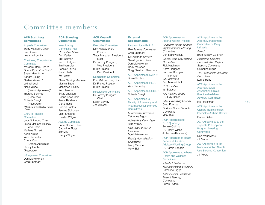# Committee members

#### **ACP Statutory Committees**

Appeals Committee Tracy Marsden, Chair Joe Doolan Lea Ann Luchka

#### Continuing Competence **Committee**

Margaret Baril, Chair\* Donna Pipa, Vice Chair\* Susan Haunholter\* Sandra Leung Nadine Velasco\* Jeff Whissell Nese Yuksel (Dean's Appointee)\* Theresa Schindel (Resource) Roberta Stasyk (Resource)\* \**Members of the Practice Review Panel*

#### Entry to Practice **Committee**

Jody Shkrobot, Chair Joyce Markson-Besney, Vice Chair Marlene Gukert Karin Nadori Vera Stepnisky Cheryl Cox (Dean's Appointee) Randy Frohlich (Resource)

#### Infringement Committee

Don Makowichuk Greg Eberhart

#### **ACP Standing Committees**

#### **Investigating** Committee Pool *Committee Chairs* Don Carley Bret Dolman Norm Hodgson Jim Krempien Bonnie Oldring Sonal Shah Ron Welch

*Other Serving Members:* Marilyn Bader Mohamed Elsalhy Ken Hanson Sylvia Jackson Donna Kowalishin Jamie Raisbeck Curtis Ross Debbie Santos Jeremy Slobodan Mark Snaterse Charles Wilgosh

#### Awards Committee

Burke Suidan, Chair Catherine Biggs Jeff May Gladys Whyte

### **ACP Council Committees**

Executive Committee Don Makowichuk, President Tracy Marsden, President Elect Dr. Tammy Bungard, Vice President Burke Suidan, Past President

#### Nominating Committee Don Makowichuk, Chair

Resolutions Committee Dr. Tammy Bungard, Chair Karen Barney Jeff Whissell

Dr. Franco Pasutto Burke Suidan

Vera Stepnisky

Roberta Stasyk

# **Committees**

*Curriculum Committee* Catherine Biggs *Admissions Committee* Brad Willsey *Five-year Review of* 

*the Dean* Don Makowichuk *Faculty Accreditation Committee* Tracy Marsden

#### **External Appointments**

#### Partnerships with RxA

*RxA Futures Committee* Greg Eberhart *Governance Review Steering Committee* Don Makowichuk Tracy Marsden Greg Eberhart, Resource

ACP Appointee to NAPRA Burke Suidan

ACP Appointee to PEBC

ACP Appointee to CCCEP

# ACP Appointees to Faculty of Pharmacy and Pharmaceutical Sciences

Merv Blair

#### ACP Appointees to Alberta Wellnet Projects

*Electronic Health Record Implementation Steering Committee* Don Makowichuk *Wellnet Data Stewardship Committee* Rick Hackman Norm Hodgson Ramona Bosnyak (alternate) *IM Committee* Don Makowichuk *IT Committee*  Ian Bateson *PIN Working Group* Dr. Judy Baker *IM/IT Governing Council* Greg Eberhart *EHR Audit and Security Committee* Merv Blair

### ACP Appointees to

DUE Quarterly Bonnie Oldring Dr. Cheryl Wiens Jill Moore (Resource)

ACP Appointee to Health Services Utilization Advisory Working Group

Dr. Harold Lopatka ACP Appointee to Alberta Health and Wellness

**Committees** *Alberta Initiative on Musculoskeletal Disorders* Catherine Biggs *Antimicrobial Resistance Project Steering Committee* Susan Fryters

#### ACP Appointee to the Alberta Management Committee on Drug **Utilization**

*Board* Brad Willsey, Co-chair *Academic Detailing Demonstration Project Steering Committee* Catherine Biggs *Trial Prescription Advisory Committee* Laurie Reay

#### ACP Appointee to the

Alberta Medical Association Clinical Practice Guidelines Advisory Committee Rick Hackman

#### [ 33 ]

ACP Appointee to the Calgary Health Region Paediatric Asthma Review Donna Galvin

ACP Appointees to the Triplicate Prescription Program Steering **Committee** 

Don Makowichuk Jill Moore

ACP Appointee to the Non-prescription Needle Use Steering Consortium Jill Moore